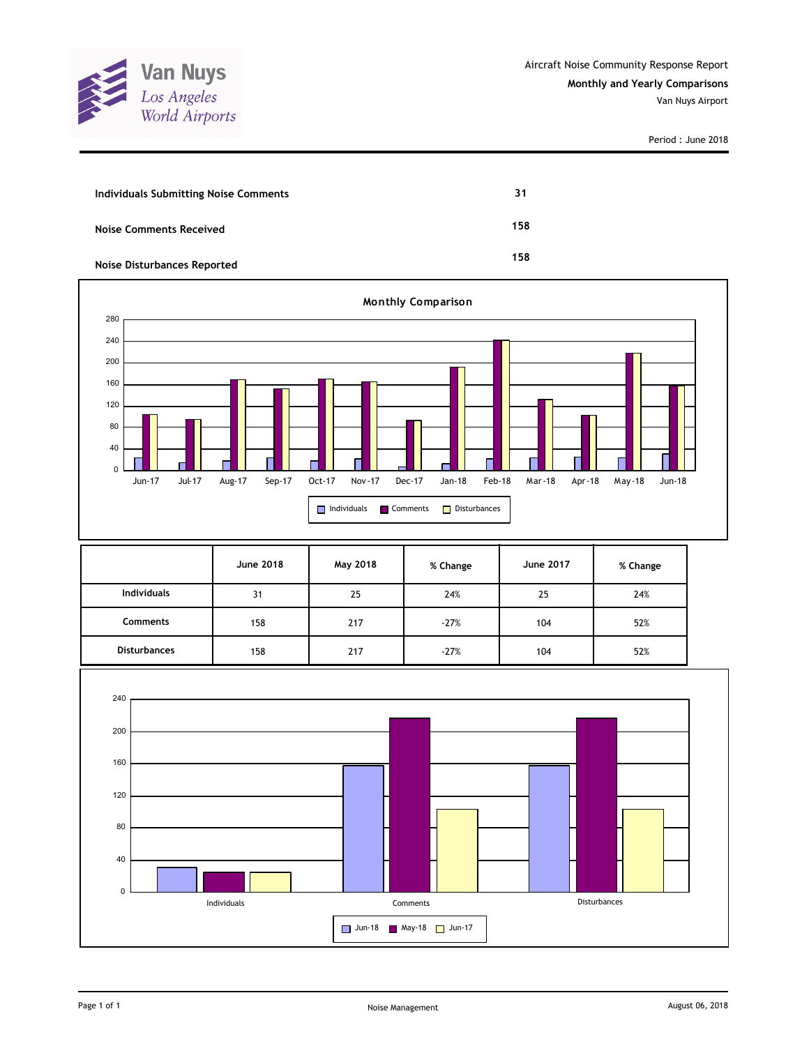

Period : June 2018

| Individuals Submitting Noise Comments | 31  |
|---------------------------------------|-----|
| <b>Noise Comments Received</b>        | 158 |
| <b>Noise Disturbances Reported</b>    | 158 |



|                     | June 2018 | May 2018 | % Change | <b>June 2017</b> | % Change |
|---------------------|-----------|----------|----------|------------------|----------|
| <b>Individuals</b>  | 31        | 25       | 24%      | 25               | 24%      |
| <b>Comments</b>     | 158       | 217      | $-27%$   | 104              | 52%      |
| <b>Disturbances</b> | 158       | 217      | $-27%$   | 104              | 52%      |

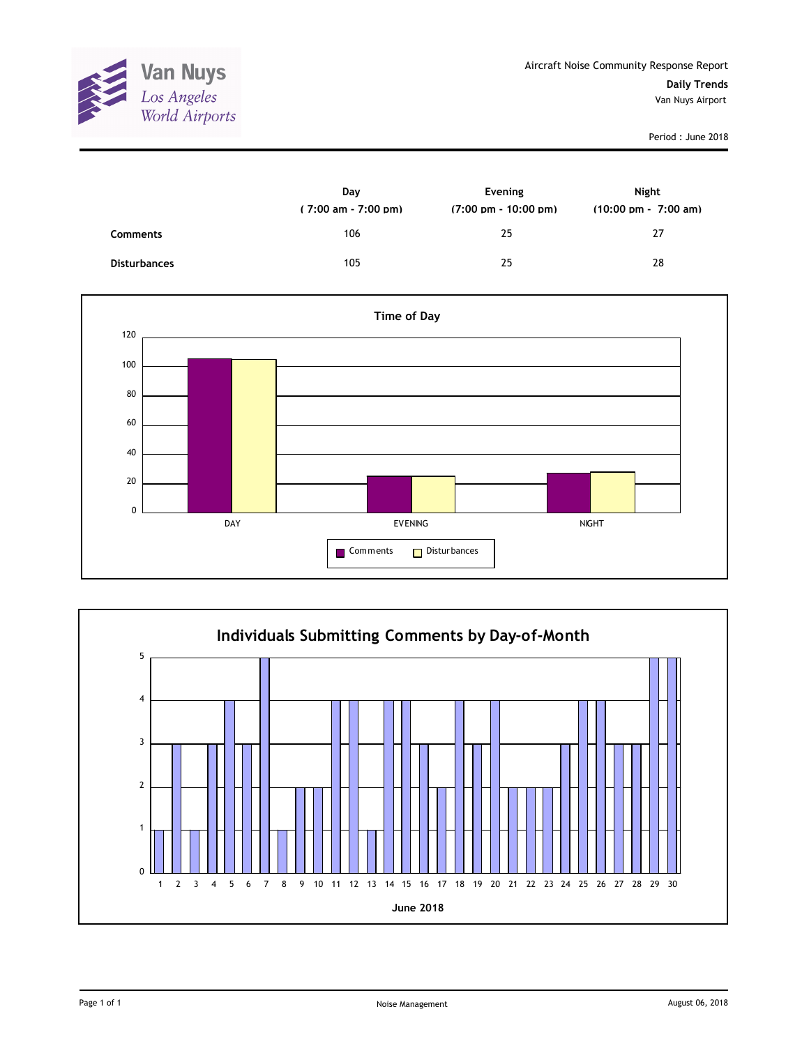

Period : June 2018

|                     | Day<br>$(7:00 \text{ am} - 7:00 \text{ pm})$ | Evening<br>$(7:00 \text{ pm} - 10:00 \text{ pm})$ | Night<br>$(10:00 \text{ pm} - 7:00 \text{ am})$ |
|---------------------|----------------------------------------------|---------------------------------------------------|-------------------------------------------------|
| <b>Comments</b>     | 106                                          | 25                                                | 27                                              |
| <b>Disturbances</b> | 105                                          | 25                                                | 28                                              |



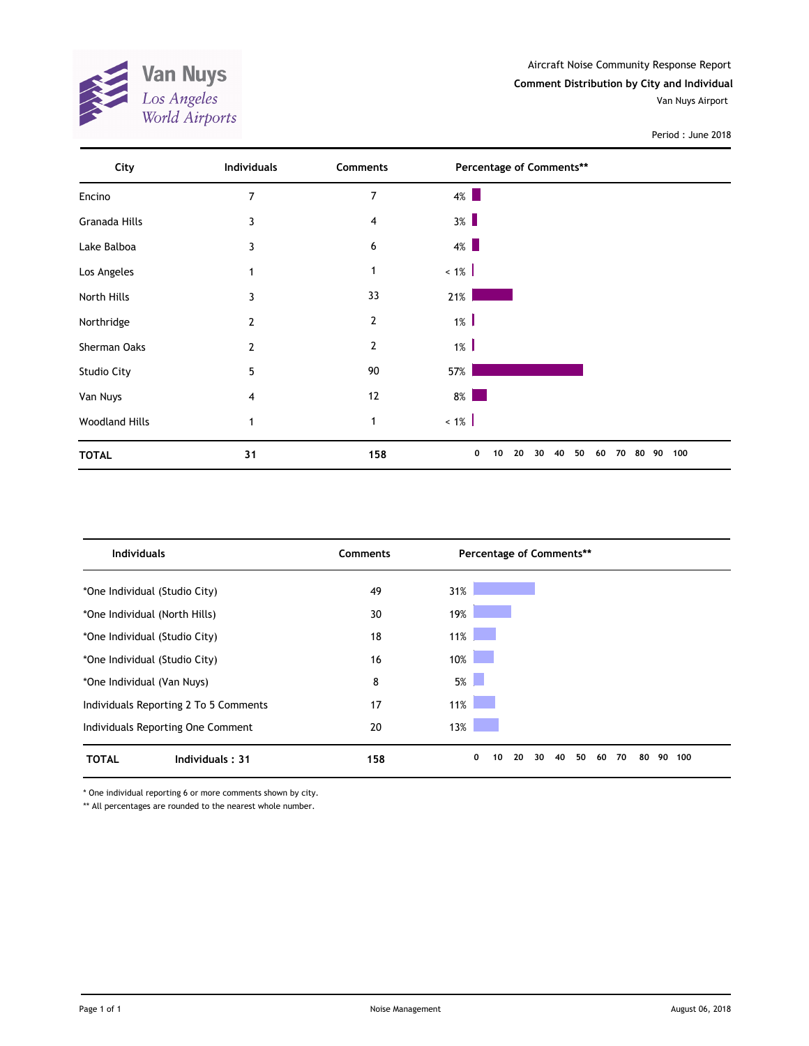

Period : June 2018



| <b>Individuals</b>                    | <b>Comments</b> | Percentage of Comments**                                                                                                        |     |
|---------------------------------------|-----------------|---------------------------------------------------------------------------------------------------------------------------------|-----|
| *One Individual (Studio City)         | 49              | 31%                                                                                                                             |     |
| *One Individual (North Hills)         | 30              | 19%                                                                                                                             |     |
| *One Individual (Studio City)         | 18              | 11%                                                                                                                             |     |
| *One Individual (Studio City)         | 16              | 10%<br><b>Contract Contract Contract Contract Contract Contract Contract Contract Contract Contract Contract Contract Co</b>    |     |
| *One Individual (Van Nuys)            | 8               | $5\%$                                                                                                                           |     |
| Individuals Reporting 2 To 5 Comments | 17              | $11\%$<br><b>Contract Contract Contract Contract Contract Contract Contract Contract Contract Contract Contract Contract Co</b> |     |
| Individuals Reporting One Comment     | 20              | 13%                                                                                                                             |     |
| <b>TOTAL</b><br>Individuals: 31       | 158             | 0<br>30<br>50<br>80<br>90<br>20<br>40<br>60<br>70<br>10                                                                         | 100 |

\* One individual reporting 6 or more comments shown by city.

\*\* All percentages are rounded to the nearest whole number.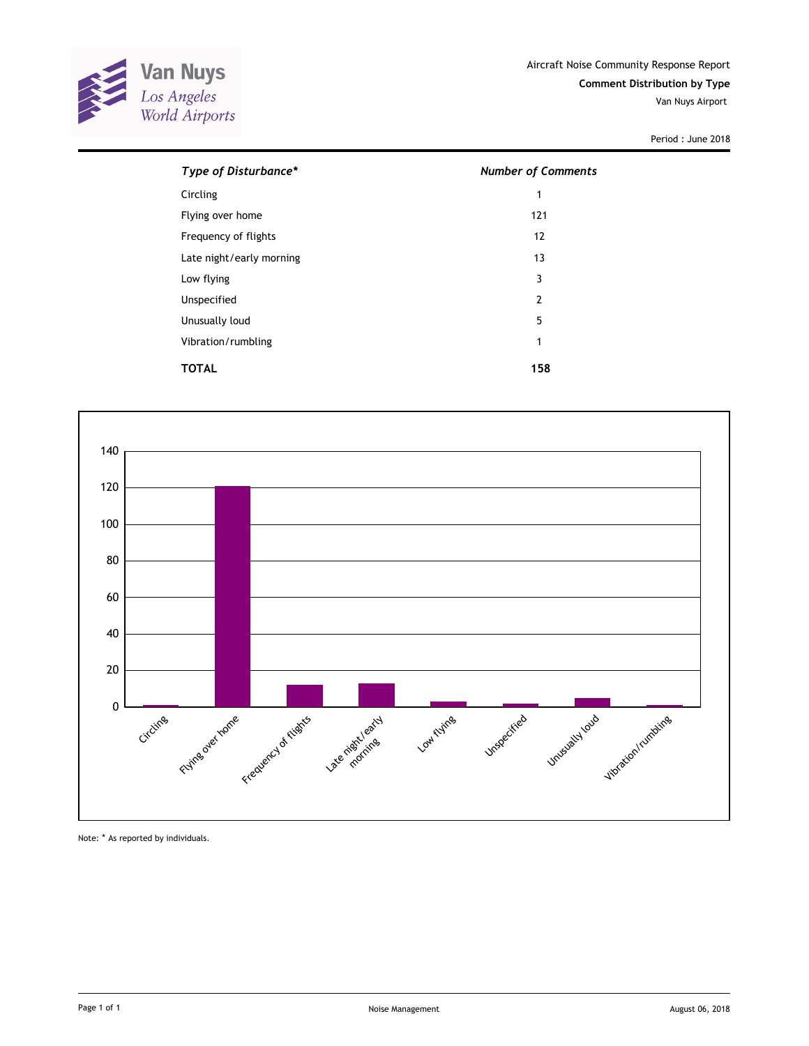

Van Nuys Airport

Period : June 2018

| Type of Disturbance*     | <b>Number of Comments</b> |
|--------------------------|---------------------------|
| Circling                 | 1                         |
| Flying over home         | 121                       |
| Frequency of flights     | 12                        |
| Late night/early morning | 13                        |
| Low flying               | 3                         |
| Unspecified              | $\overline{2}$            |
| Unusually loud           | 5                         |
| Vibration/rumbling       | 1                         |
| TOTAL                    | 158                       |



Note: \* As reported by individuals.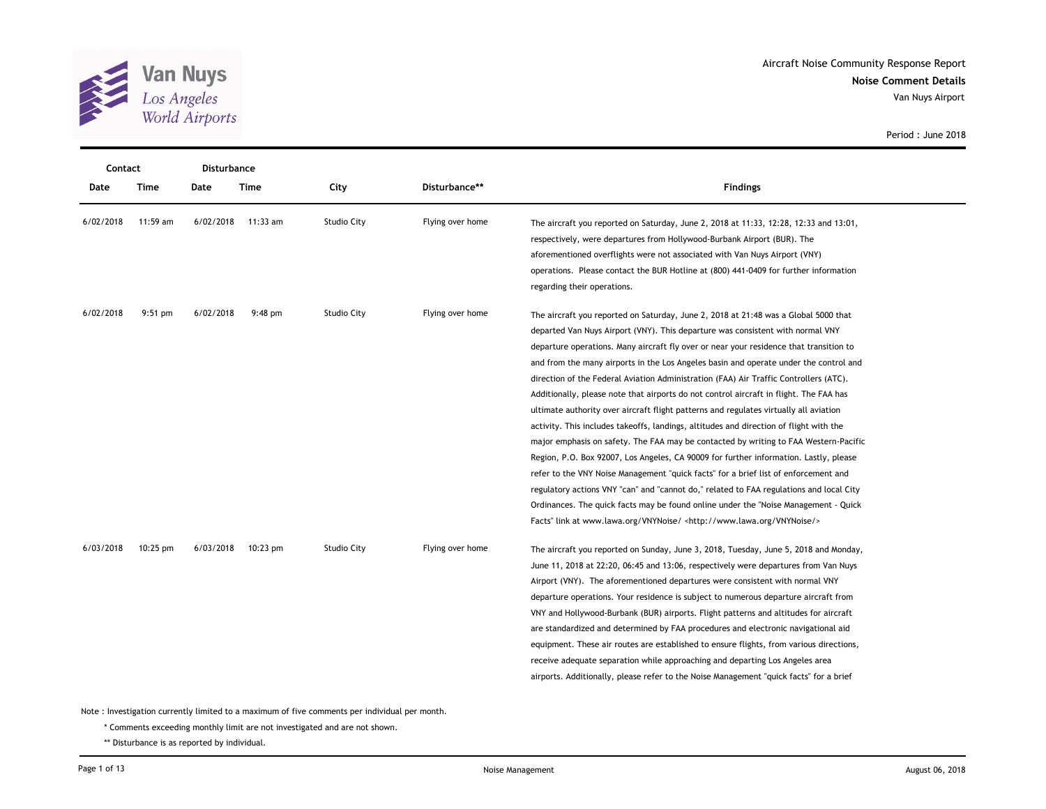

Van Nuys Airport

| Contact   | <b>Disturbance</b> |           |             |                    |                  |                                                                                                                                                                  |
|-----------|--------------------|-----------|-------------|--------------------|------------------|------------------------------------------------------------------------------------------------------------------------------------------------------------------|
| Date      | <b>Time</b>        | Date      | <b>Time</b> | City               | Disturbance**    | <b>Findings</b>                                                                                                                                                  |
| 6/02/2018 | 11:59 am           | 6/02/2018 | $11:33$ am  | <b>Studio City</b> | Flying over home | The aircraft you reported on Saturday, June 2, 2018 at 11:33, 12:28, 12:33 and 13:01,<br>respectively, were departures from Hollywood-Burbank Airport (BUR). The |
|           |                    |           |             |                    |                  | aforementioned overflights were not associated with Van Nuys Airport (VNY)                                                                                       |
|           |                    |           |             |                    |                  | operations. Please contact the BUR Hotline at (800) 441-0409 for further information                                                                             |
|           |                    |           |             |                    |                  | regarding their operations.                                                                                                                                      |
| 6/02/2018 | $9:51$ pm          | 6/02/2018 | $9:48$ pm   | <b>Studio City</b> | Flying over home | The aircraft you reported on Saturday, June 2, 2018 at 21:48 was a Global 5000 that                                                                              |
|           |                    |           |             |                    |                  | departed Van Nuys Airport (VNY). This departure was consistent with normal VNY                                                                                   |
|           |                    |           |             |                    |                  | departure operations. Many aircraft fly over or near your residence that transition to                                                                           |
|           |                    |           |             |                    |                  | and from the many airports in the Los Angeles basin and operate under the control and                                                                            |
|           |                    |           |             |                    |                  | direction of the Federal Aviation Administration (FAA) Air Traffic Controllers (ATC).                                                                            |
|           |                    |           |             |                    |                  | Additionally, please note that airports do not control aircraft in flight. The FAA has                                                                           |
|           |                    |           |             |                    |                  | ultimate authority over aircraft flight patterns and regulates virtually all aviation                                                                            |
|           |                    |           |             |                    |                  | activity. This includes takeoffs, landings, altitudes and direction of flight with the                                                                           |
|           |                    |           |             |                    |                  | major emphasis on safety. The FAA may be contacted by writing to FAA Western-Pacific                                                                             |
|           |                    |           |             |                    |                  | Region, P.O. Box 92007, Los Angeles, CA 90009 for further information. Lastly, please                                                                            |
|           |                    |           |             |                    |                  | refer to the VNY Noise Management "quick facts" for a brief list of enforcement and                                                                              |
|           |                    |           |             |                    |                  | regulatory actions VNY "can" and "cannot do," related to FAA regulations and local City                                                                          |
|           |                    |           |             |                    |                  | Ordinances. The quick facts may be found online under the "Noise Management - Quick                                                                              |
|           |                    |           |             |                    |                  | Facts" link at www.lawa.org/VNYNoise/ <http: vnynoise="" www.lawa.org=""></http:>                                                                                |
| 6/03/2018 | $10:25 \text{ pm}$ | 6/03/2018 | $10:23$ pm  | <b>Studio City</b> | Flying over home | The aircraft you reported on Sunday, June 3, 2018, Tuesday, June 5, 2018 and Monday,                                                                             |
|           |                    |           |             |                    |                  | June 11, 2018 at 22:20, 06:45 and 13:06, respectively were departures from Van Nuys                                                                              |
|           |                    |           |             |                    |                  | Airport (VNY). The aforementioned departures were consistent with normal VNY                                                                                     |
|           |                    |           |             |                    |                  | departure operations. Your residence is subject to numerous departure aircraft from                                                                              |
|           |                    |           |             |                    |                  | VNY and Hollywood-Burbank (BUR) airports. Flight patterns and altitudes for aircraft                                                                             |
|           |                    |           |             |                    |                  | are standardized and determined by FAA procedures and electronic navigational aid                                                                                |
|           |                    |           |             |                    |                  | equipment. These air routes are established to ensure flights, from various directions,                                                                          |
|           |                    |           |             |                    |                  | receive adequate separation while approaching and departing Los Angeles area                                                                                     |
|           |                    |           |             |                    |                  | airports. Additionally, please refer to the Noise Management "quick facts" for a brief                                                                           |
|           |                    |           |             |                    |                  |                                                                                                                                                                  |

Period : June 2018

Note : Investigation currently limited to a maximum of five comments per individual per month.

\* Comments exceeding monthly limit are not investigated and are not shown.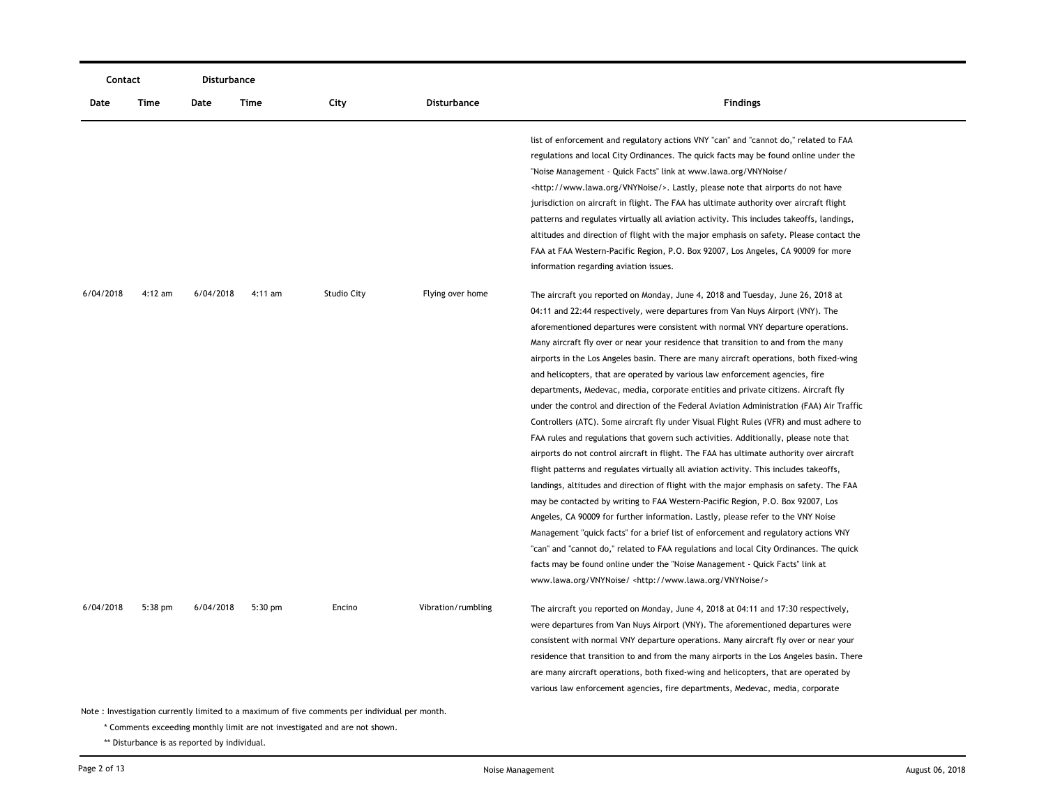| Contact                                                                                       |           | Disturbance |           |                    |                    |                                                                                                                                                                                                                                                                                                                                                                                                                                                                                                                                                                                                                                                                                                                                                                                                                                                                                                                                                                                                                                                                                                                                                                                                                                                                                                                                                                                                                                                                                                                                                                                                                                                                                         |  |  |
|-----------------------------------------------------------------------------------------------|-----------|-------------|-----------|--------------------|--------------------|-----------------------------------------------------------------------------------------------------------------------------------------------------------------------------------------------------------------------------------------------------------------------------------------------------------------------------------------------------------------------------------------------------------------------------------------------------------------------------------------------------------------------------------------------------------------------------------------------------------------------------------------------------------------------------------------------------------------------------------------------------------------------------------------------------------------------------------------------------------------------------------------------------------------------------------------------------------------------------------------------------------------------------------------------------------------------------------------------------------------------------------------------------------------------------------------------------------------------------------------------------------------------------------------------------------------------------------------------------------------------------------------------------------------------------------------------------------------------------------------------------------------------------------------------------------------------------------------------------------------------------------------------------------------------------------------|--|--|
| Date                                                                                          | Time      | Date        | Time      | City               | Disturbance        | <b>Findings</b>                                                                                                                                                                                                                                                                                                                                                                                                                                                                                                                                                                                                                                                                                                                                                                                                                                                                                                                                                                                                                                                                                                                                                                                                                                                                                                                                                                                                                                                                                                                                                                                                                                                                         |  |  |
|                                                                                               |           |             |           |                    |                    | list of enforcement and regulatory actions VNY "can" and "cannot do," related to FAA<br>regulations and local City Ordinances. The quick facts may be found online under the<br>"Noise Management - Quick Facts" link at www.lawa.org/VNYNoise/<br><http: vnynoise="" www.lawa.org=""></http:> . Lastly, please note that airports do not have<br>jurisdiction on aircraft in flight. The FAA has ultimate authority over aircraft flight<br>patterns and regulates virtually all aviation activity. This includes takeoffs, landings,<br>altitudes and direction of flight with the major emphasis on safety. Please contact the<br>FAA at FAA Western-Pacific Region, P.O. Box 92007, Los Angeles, CA 90009 for more<br>information regarding aviation issues.                                                                                                                                                                                                                                                                                                                                                                                                                                                                                                                                                                                                                                                                                                                                                                                                                                                                                                                        |  |  |
| 6/04/2018                                                                                     | $4:12$ am | 6/04/2018   | $4:11$ am | <b>Studio City</b> | Flying over home   | The aircraft you reported on Monday, June 4, 2018 and Tuesday, June 26, 2018 at<br>04:11 and 22:44 respectively, were departures from Van Nuys Airport (VNY). The<br>aforementioned departures were consistent with normal VNY departure operations.<br>Many aircraft fly over or near your residence that transition to and from the many<br>airports in the Los Angeles basin. There are many aircraft operations, both fixed-wing<br>and helicopters, that are operated by various law enforcement agencies, fire<br>departments, Medevac, media, corporate entities and private citizens. Aircraft fly<br>under the control and direction of the Federal Aviation Administration (FAA) Air Traffic<br>Controllers (ATC). Some aircraft fly under Visual Flight Rules (VFR) and must adhere to<br>FAA rules and regulations that govern such activities. Additionally, please note that<br>airports do not control aircraft in flight. The FAA has ultimate authority over aircraft<br>flight patterns and regulates virtually all aviation activity. This includes takeoffs,<br>landings, altitudes and direction of flight with the major emphasis on safety. The FAA<br>may be contacted by writing to FAA Western-Pacific Region, P.O. Box 92007, Los<br>Angeles, CA 90009 for further information. Lastly, please refer to the VNY Noise<br>Management "quick facts" for a brief list of enforcement and regulatory actions VNY<br>"can" and "cannot do," related to FAA regulations and local City Ordinances. The quick<br>facts may be found online under the "Noise Management - Quick Facts" link at<br>www.lawa.org/VNYNoise/ <http: vnynoise="" www.lawa.org=""></http:> |  |  |
| 6/04/2018                                                                                     | $5:38$ pm | 6/04/2018   | $5:30$ pm | Encino             | Vibration/rumbling | The aircraft you reported on Monday, June 4, 2018 at 04:11 and 17:30 respectively,<br>were departures from Van Nuys Airport (VNY). The aforementioned departures were<br>consistent with normal VNY departure operations. Many aircraft fly over or near your<br>residence that transition to and from the many airports in the Los Angeles basin. There<br>are many aircraft operations, both fixed-wing and helicopters, that are operated by<br>various law enforcement agencies, fire departments, Medevac, media, corporate                                                                                                                                                                                                                                                                                                                                                                                                                                                                                                                                                                                                                                                                                                                                                                                                                                                                                                                                                                                                                                                                                                                                                        |  |  |
| Note: Investigation currently limited to a maximum of five comments per individual per month. |           |             |           |                    |                    |                                                                                                                                                                                                                                                                                                                                                                                                                                                                                                                                                                                                                                                                                                                                                                                                                                                                                                                                                                                                                                                                                                                                                                                                                                                                                                                                                                                                                                                                                                                                                                                                                                                                                         |  |  |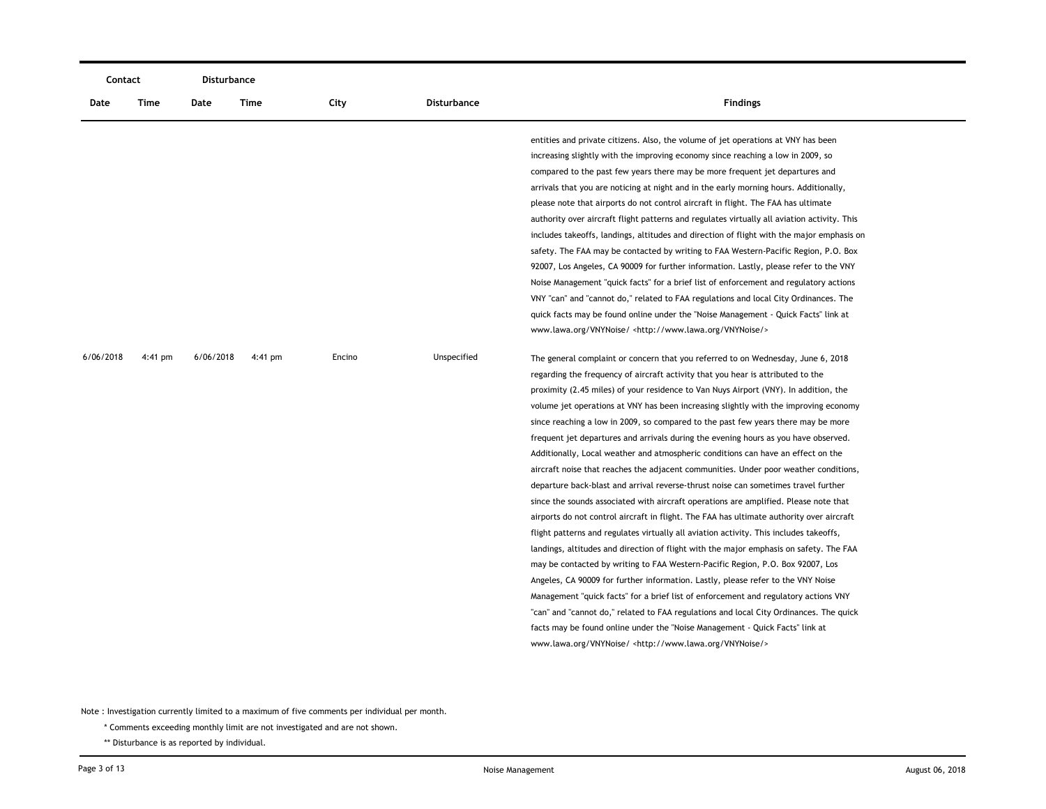|           | Contact<br><b>Disturbance</b> |           |         |        |                    |                                                                                             |
|-----------|-------------------------------|-----------|---------|--------|--------------------|---------------------------------------------------------------------------------------------|
| Date      | Time                          | Date      | Time    | City   | <b>Disturbance</b> | <b>Findings</b>                                                                             |
|           |                               |           |         |        |                    | entities and private citizens. Also, the volume of jet operations at VNY has been           |
|           |                               |           |         |        |                    | increasing slightly with the improving economy since reaching a low in 2009, so             |
|           |                               |           |         |        |                    | compared to the past few years there may be more frequent jet departures and                |
|           |                               |           |         |        |                    | arrivals that you are noticing at night and in the early morning hours. Additionally,       |
|           |                               |           |         |        |                    | please note that airports do not control aircraft in flight. The FAA has ultimate           |
|           |                               |           |         |        |                    | authority over aircraft flight patterns and regulates virtually all aviation activity. This |
|           |                               |           |         |        |                    | includes takeoffs, landings, altitudes and direction of flight with the major emphasis on   |
|           |                               |           |         |        |                    | safety. The FAA may be contacted by writing to FAA Western-Pacific Region, P.O. Box         |
|           |                               |           |         |        |                    | 92007, Los Angeles, CA 90009 for further information. Lastly, please refer to the VNY       |
|           |                               |           |         |        |                    | Noise Management "quick facts" for a brief list of enforcement and regulatory actions       |
|           |                               |           |         |        |                    | VNY "can" and "cannot do," related to FAA regulations and local City Ordinances. The        |
|           |                               |           |         |        |                    | quick facts may be found online under the "Noise Management - Quick Facts" link at          |
|           |                               |           |         |        |                    | www.lawa.org/VNYNoise/ <http: vnynoise="" www.lawa.org=""></http:>                          |
| 6/06/2018 | $4:41$ pm                     | 6/06/2018 | 4:41 pm | Encino | Unspecified        | The general complaint or concern that you referred to on Wednesday, June 6, 2018            |
|           |                               |           |         |        |                    | regarding the frequency of aircraft activity that you hear is attributed to the             |
|           |                               |           |         |        |                    | proximity (2.45 miles) of your residence to Van Nuys Airport (VNY). In addition, the        |
|           |                               |           |         |        |                    | volume jet operations at VNY has been increasing slightly with the improving economy        |
|           |                               |           |         |        |                    | since reaching a low in 2009, so compared to the past few years there may be more           |
|           |                               |           |         |        |                    | frequent jet departures and arrivals during the evening hours as you have observed.         |
|           |                               |           |         |        |                    | Additionally, Local weather and atmospheric conditions can have an effect on the            |
|           |                               |           |         |        |                    | aircraft noise that reaches the adjacent communities. Under poor weather conditions,        |
|           |                               |           |         |        |                    | departure back-blast and arrival reverse-thrust noise can sometimes travel further          |
|           |                               |           |         |        |                    | since the sounds associated with aircraft operations are amplified. Please note that        |
|           |                               |           |         |        |                    | airports do not control aircraft in flight. The FAA has ultimate authority over aircraft    |
|           |                               |           |         |        |                    | flight patterns and regulates virtually all aviation activity. This includes takeoffs,      |
|           |                               |           |         |        |                    | landings, altitudes and direction of flight with the major emphasis on safety. The FAA      |
|           |                               |           |         |        |                    | may be contacted by writing to FAA Western-Pacific Region, P.O. Box 92007, Los              |
|           |                               |           |         |        |                    | Angeles, CA 90009 for further information. Lastly, please refer to the VNY Noise            |
|           |                               |           |         |        |                    | Management "quick facts" for a brief list of enforcement and regulatory actions VNY         |
|           |                               |           |         |        |                    | "can" and "cannot do," related to FAA regulations and local City Ordinances. The quick      |
|           |                               |           |         |        |                    | facts may be found online under the "Noise Management - Quick Facts" link at                |
|           |                               |           |         |        |                    | www.lawa.org/VNYNoise/ <http: vnynoise="" www.lawa.org=""></http:>                          |
|           |                               |           |         |        |                    |                                                                                             |

\* Comments exceeding monthly limit are not investigated and are not shown.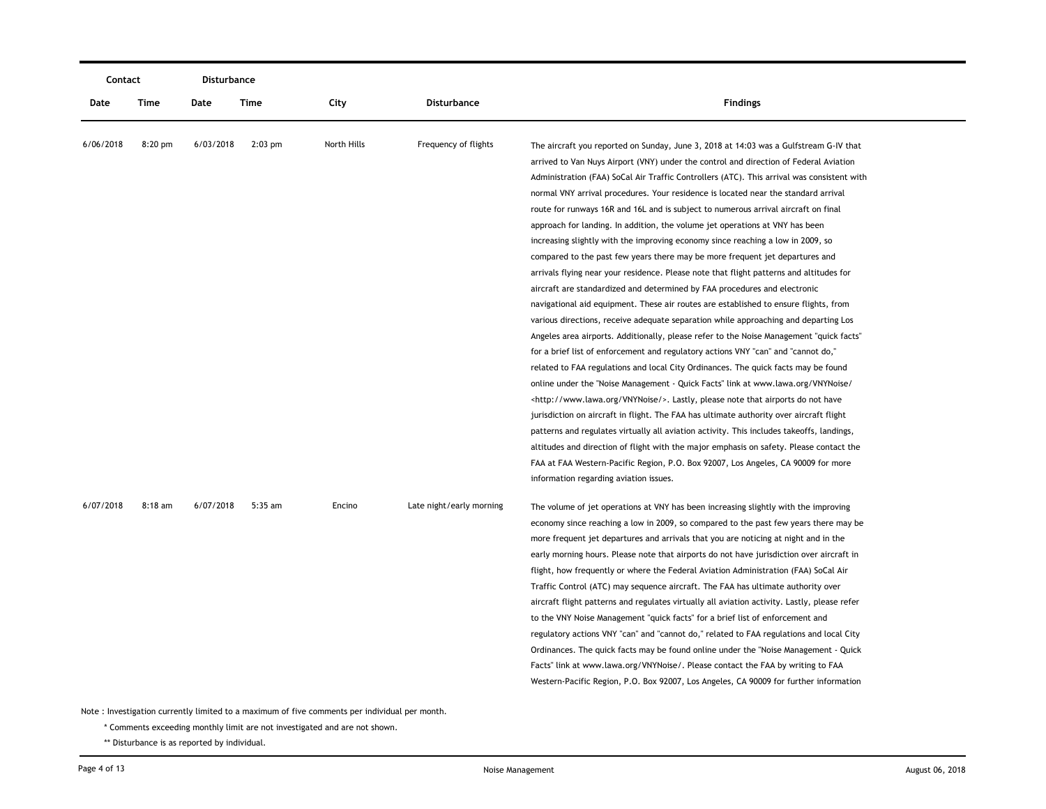| Contact   |           | Disturbance |           |             |                          |                                                                                                                                                                                                                                                                                                                                                                                                                                                                                                                                                                                                                                                                                                                                                                                                                                                                                                                                                                                                                                                                                                                                                                                                                                                                                                                                                                                                                                                                                                                                                                                                                                                                                                                                                                                                                                                                                                                                               |
|-----------|-----------|-------------|-----------|-------------|--------------------------|-----------------------------------------------------------------------------------------------------------------------------------------------------------------------------------------------------------------------------------------------------------------------------------------------------------------------------------------------------------------------------------------------------------------------------------------------------------------------------------------------------------------------------------------------------------------------------------------------------------------------------------------------------------------------------------------------------------------------------------------------------------------------------------------------------------------------------------------------------------------------------------------------------------------------------------------------------------------------------------------------------------------------------------------------------------------------------------------------------------------------------------------------------------------------------------------------------------------------------------------------------------------------------------------------------------------------------------------------------------------------------------------------------------------------------------------------------------------------------------------------------------------------------------------------------------------------------------------------------------------------------------------------------------------------------------------------------------------------------------------------------------------------------------------------------------------------------------------------------------------------------------------------------------------------------------------------|
| Date      | Time      | Date        | Time      | City        | <b>Disturbance</b>       | <b>Findings</b>                                                                                                                                                                                                                                                                                                                                                                                                                                                                                                                                                                                                                                                                                                                                                                                                                                                                                                                                                                                                                                                                                                                                                                                                                                                                                                                                                                                                                                                                                                                                                                                                                                                                                                                                                                                                                                                                                                                               |
| 6/06/2018 | 8:20 pm   | 6/03/2018   | $2:03$ pm | North Hills | Frequency of flights     | The aircraft you reported on Sunday, June 3, 2018 at 14:03 was a Gulfstream G-IV that<br>arrived to Van Nuys Airport (VNY) under the control and direction of Federal Aviation<br>Administration (FAA) SoCal Air Traffic Controllers (ATC). This arrival was consistent with<br>normal VNY arrival procedures. Your residence is located near the standard arrival<br>route for runways 16R and 16L and is subject to numerous arrival aircraft on final<br>approach for landing. In addition, the volume jet operations at VNY has been<br>increasing slightly with the improving economy since reaching a low in 2009, so<br>compared to the past few years there may be more frequent jet departures and<br>arrivals flying near your residence. Please note that flight patterns and altitudes for<br>aircraft are standardized and determined by FAA procedures and electronic<br>navigational aid equipment. These air routes are established to ensure flights, from<br>various directions, receive adequate separation while approaching and departing Los<br>Angeles area airports. Additionally, please refer to the Noise Management "quick facts"<br>for a brief list of enforcement and regulatory actions VNY "can" and "cannot do,"<br>related to FAA regulations and local City Ordinances. The quick facts may be found<br>online under the "Noise Management - Quick Facts" link at www.lawa.org/VNYNoise/<br><http: vnynoise="" www.lawa.org=""></http:> . Lastly, please note that airports do not have<br>jurisdiction on aircraft in flight. The FAA has ultimate authority over aircraft flight<br>patterns and regulates virtually all aviation activity. This includes takeoffs, landings,<br>altitudes and direction of flight with the major emphasis on safety. Please contact the<br>FAA at FAA Western-Pacific Region, P.O. Box 92007, Los Angeles, CA 90009 for more<br>information regarding aviation issues. |
| 6/07/2018 | $8:18$ am | 6/07/2018   | 5:35 am   | Encino      | Late night/early morning | The volume of jet operations at VNY has been increasing slightly with the improving<br>economy since reaching a low in 2009, so compared to the past few years there may be<br>more frequent jet departures and arrivals that you are noticing at night and in the<br>early morning hours. Please note that airports do not have jurisdiction over aircraft in<br>flight, how frequently or where the Federal Aviation Administration (FAA) SoCal Air<br>Traffic Control (ATC) may sequence aircraft. The FAA has ultimate authority over<br>aircraft flight patterns and regulates virtually all aviation activity. Lastly, please refer<br>to the VNY Noise Management "quick facts" for a brief list of enforcement and<br>regulatory actions VNY "can" and "cannot do," related to FAA regulations and local City<br>Ordinances. The quick facts may be found online under the "Noise Management - Quick<br>Facts" link at www.lawa.org/VNYNoise/. Please contact the FAA by writing to FAA<br>Western-Pacific Region, P.O. Box 92007, Los Angeles, CA 90009 for further information                                                                                                                                                                                                                                                                                                                                                                                                                                                                                                                                                                                                                                                                                                                                                                                                                                                      |

\* Comments exceeding monthly limit are not investigated and are not shown.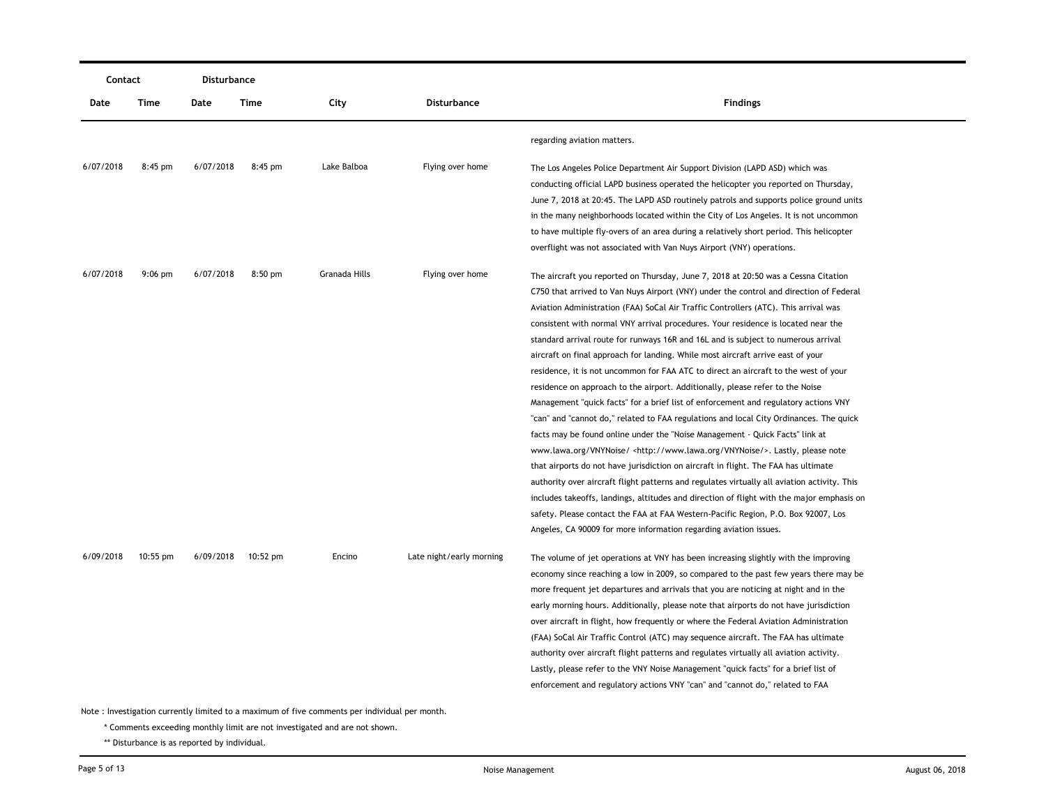| Contact   |            | Disturbance |           |                                                                                               |                          |                                                                                             |
|-----------|------------|-------------|-----------|-----------------------------------------------------------------------------------------------|--------------------------|---------------------------------------------------------------------------------------------|
| Date      | Time       | Date        | Time      | City                                                                                          | Disturbance              | <b>Findings</b>                                                                             |
|           |            |             |           |                                                                                               |                          | regarding aviation matters.                                                                 |
| 6/07/2018 | $8:45$ pm  | 6/07/2018   | $8:45$ pm | Lake Balboa                                                                                   | Flying over home         | The Los Angeles Police Department Air Support Division (LAPD ASD) which was                 |
|           |            |             |           |                                                                                               |                          | conducting official LAPD business operated the helicopter you reported on Thursday,         |
|           |            |             |           |                                                                                               |                          | June 7, 2018 at 20:45. The LAPD ASD routinely patrols and supports police ground units      |
|           |            |             |           |                                                                                               |                          | in the many neighborhoods located within the City of Los Angeles. It is not uncommon        |
|           |            |             |           |                                                                                               |                          | to have multiple fly-overs of an area during a relatively short period. This helicopter     |
|           |            |             |           |                                                                                               |                          | overflight was not associated with Van Nuys Airport (VNY) operations.                       |
| 6/07/2018 | $9:06$ pm  | 6/07/2018   | $8:50$ pm | Granada Hills                                                                                 | Flying over home         | The aircraft you reported on Thursday, June 7, 2018 at 20:50 was a Cessna Citation          |
|           |            |             |           |                                                                                               |                          | C750 that arrived to Van Nuys Airport (VNY) under the control and direction of Federal      |
|           |            |             |           |                                                                                               |                          | Aviation Administration (FAA) SoCal Air Traffic Controllers (ATC). This arrival was         |
|           |            |             |           |                                                                                               |                          | consistent with normal VNY arrival procedures. Your residence is located near the           |
|           |            |             |           |                                                                                               |                          | standard arrival route for runways 16R and 16L and is subject to numerous arrival           |
|           |            |             |           |                                                                                               |                          | aircraft on final approach for landing. While most aircraft arrive east of your             |
|           |            |             |           |                                                                                               |                          | residence, it is not uncommon for FAA ATC to direct an aircraft to the west of your         |
|           |            |             |           |                                                                                               |                          | residence on approach to the airport. Additionally, please refer to the Noise               |
|           |            |             |           |                                                                                               |                          | Management "quick facts" for a brief list of enforcement and regulatory actions VNY         |
|           |            |             |           |                                                                                               |                          | "can" and "cannot do," related to FAA regulations and local City Ordinances. The quick      |
|           |            |             |           |                                                                                               |                          | facts may be found online under the "Noise Management - Quick Facts" link at                |
|           |            |             |           |                                                                                               |                          | www.lawa.org/VNYNoise/ <http: vnynoise="" www.lawa.org=""></http:> . Lastly, please note    |
|           |            |             |           |                                                                                               |                          | that airports do not have jurisdiction on aircraft in flight. The FAA has ultimate          |
|           |            |             |           |                                                                                               |                          | authority over aircraft flight patterns and regulates virtually all aviation activity. This |
|           |            |             |           |                                                                                               |                          | includes takeoffs, landings, altitudes and direction of flight with the major emphasis on   |
|           |            |             |           |                                                                                               |                          | safety. Please contact the FAA at FAA Western-Pacific Region, P.O. Box 92007, Los           |
|           |            |             |           |                                                                                               |                          | Angeles, CA 90009 for more information regarding aviation issues.                           |
| 6/09/2018 | $10:55$ pm | 6/09/2018   | 10:52 pm  | Encino                                                                                        | Late night/early morning | The volume of jet operations at VNY has been increasing slightly with the improving         |
|           |            |             |           |                                                                                               |                          | economy since reaching a low in 2009, so compared to the past few years there may be        |
|           |            |             |           |                                                                                               |                          | more frequent jet departures and arrivals that you are noticing at night and in the         |
|           |            |             |           |                                                                                               |                          | early morning hours. Additionally, please note that airports do not have jurisdiction       |
|           |            |             |           |                                                                                               |                          | over aircraft in flight, how frequently or where the Federal Aviation Administration        |
|           |            |             |           |                                                                                               |                          | (FAA) SoCal Air Traffic Control (ATC) may sequence aircraft. The FAA has ultimate           |
|           |            |             |           |                                                                                               |                          | authority over aircraft flight patterns and regulates virtually all aviation activity.      |
|           |            |             |           |                                                                                               |                          | Lastly, please refer to the VNY Noise Management "quick facts" for a brief list of          |
|           |            |             |           |                                                                                               |                          | enforcement and regulatory actions VNY "can" and "cannot do," related to FAA                |
|           |            |             |           | Note: Investigation currently limited to a maximum of five comments per individual per month. |                          |                                                                                             |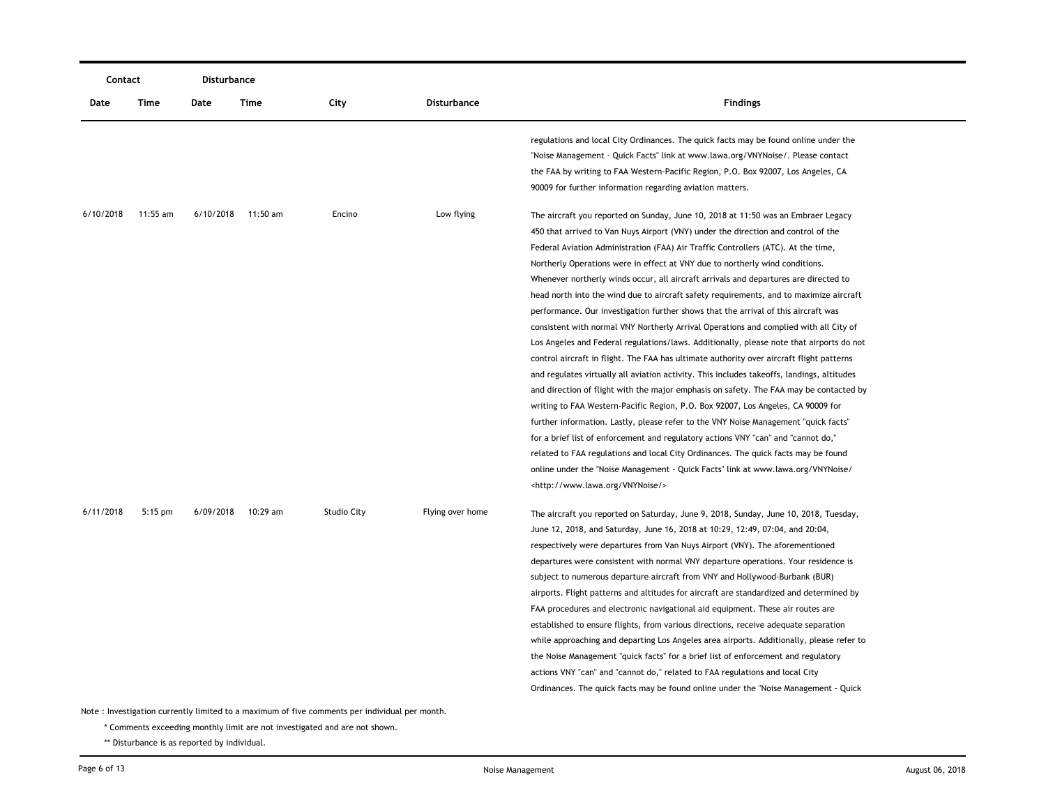|           | Contact   |           | Disturbance |                    |                  |                                                                                                                                                                                                                                                                                                                                                                                                                                                                                                                                                                                                                                                                                                                                                                                                                                                                                                                                                                                                                                                                                                                                                                                                                                                                                                                                                                                                                                                                                                                                                                                       |
|-----------|-----------|-----------|-------------|--------------------|------------------|---------------------------------------------------------------------------------------------------------------------------------------------------------------------------------------------------------------------------------------------------------------------------------------------------------------------------------------------------------------------------------------------------------------------------------------------------------------------------------------------------------------------------------------------------------------------------------------------------------------------------------------------------------------------------------------------------------------------------------------------------------------------------------------------------------------------------------------------------------------------------------------------------------------------------------------------------------------------------------------------------------------------------------------------------------------------------------------------------------------------------------------------------------------------------------------------------------------------------------------------------------------------------------------------------------------------------------------------------------------------------------------------------------------------------------------------------------------------------------------------------------------------------------------------------------------------------------------|
| Date      | Time      | Date      | Time        | City               | Disturbance      | <b>Findings</b>                                                                                                                                                                                                                                                                                                                                                                                                                                                                                                                                                                                                                                                                                                                                                                                                                                                                                                                                                                                                                                                                                                                                                                                                                                                                                                                                                                                                                                                                                                                                                                       |
|           |           |           |             |                    |                  | regulations and local City Ordinances. The quick facts may be found online under the<br>"Noise Management - Quick Facts" link at www.lawa.org/VNYNoise/. Please contact<br>the FAA by writing to FAA Western-Pacific Region, P.O. Box 92007, Los Angeles, CA<br>90009 for further information regarding aviation matters.                                                                                                                                                                                                                                                                                                                                                                                                                                                                                                                                                                                                                                                                                                                                                                                                                                                                                                                                                                                                                                                                                                                                                                                                                                                             |
| 6/10/2018 | 11:55 am  | 6/10/2018 | 11:50 am    | Encino             | Low flying       | The aircraft you reported on Sunday, June 10, 2018 at 11:50 was an Embraer Legacy<br>450 that arrived to Van Nuys Airport (VNY) under the direction and control of the<br>Federal Aviation Administration (FAA) Air Traffic Controllers (ATC). At the time,<br>Northerly Operations were in effect at VNY due to northerly wind conditions.<br>Whenever northerly winds occur, all aircraft arrivals and departures are directed to<br>head north into the wind due to aircraft safety requirements, and to maximize aircraft<br>performance. Our investigation further shows that the arrival of this aircraft was<br>consistent with normal VNY Northerly Arrival Operations and complied with all City of<br>Los Angeles and Federal regulations/laws. Additionally, please note that airports do not<br>control aircraft in flight. The FAA has ultimate authority over aircraft flight patterns<br>and regulates virtually all aviation activity. This includes takeoffs, landings, altitudes<br>and direction of flight with the major emphasis on safety. The FAA may be contacted by<br>writing to FAA Western-Pacific Region, P.O. Box 92007, Los Angeles, CA 90009 for<br>further information. Lastly, please refer to the VNY Noise Management "quick facts"<br>for a brief list of enforcement and regulatory actions VNY "can" and "cannot do,"<br>related to FAA regulations and local City Ordinances. The quick facts may be found<br>online under the "Noise Management - Quick Facts" link at www.lawa.org/VNYNoise/<br><http: vnynoise="" www.lawa.org=""></http:> |
| 6/11/2018 | $5:15$ pm | 6/09/2018 | 10:29 am    | <b>Studio City</b> | Flying over home | The aircraft you reported on Saturday, June 9, 2018, Sunday, June 10, 2018, Tuesday,<br>June 12, 2018, and Saturday, June 16, 2018 at 10:29, 12:49, 07:04, and 20:04,<br>respectively were departures from Van Nuys Airport (VNY). The aforementioned<br>departures were consistent with normal VNY departure operations. Your residence is<br>subject to numerous departure aircraft from VNY and Hollywood-Burbank (BUR)<br>airports. Flight patterns and altitudes for aircraft are standardized and determined by<br>FAA procedures and electronic navigational aid equipment. These air routes are<br>established to ensure flights, from various directions, receive adequate separation<br>while approaching and departing Los Angeles area airports. Additionally, please refer to<br>the Noise Management "quick facts" for a brief list of enforcement and regulatory<br>actions VNY "can" and "cannot do," related to FAA regulations and local City<br>Ordinances. The quick facts may be found online under the "Noise Management - Quick                                                                                                                                                                                                                                                                                                                                                                                                                                                                                                                                |

\* Comments exceeding monthly limit are not investigated and are not shown.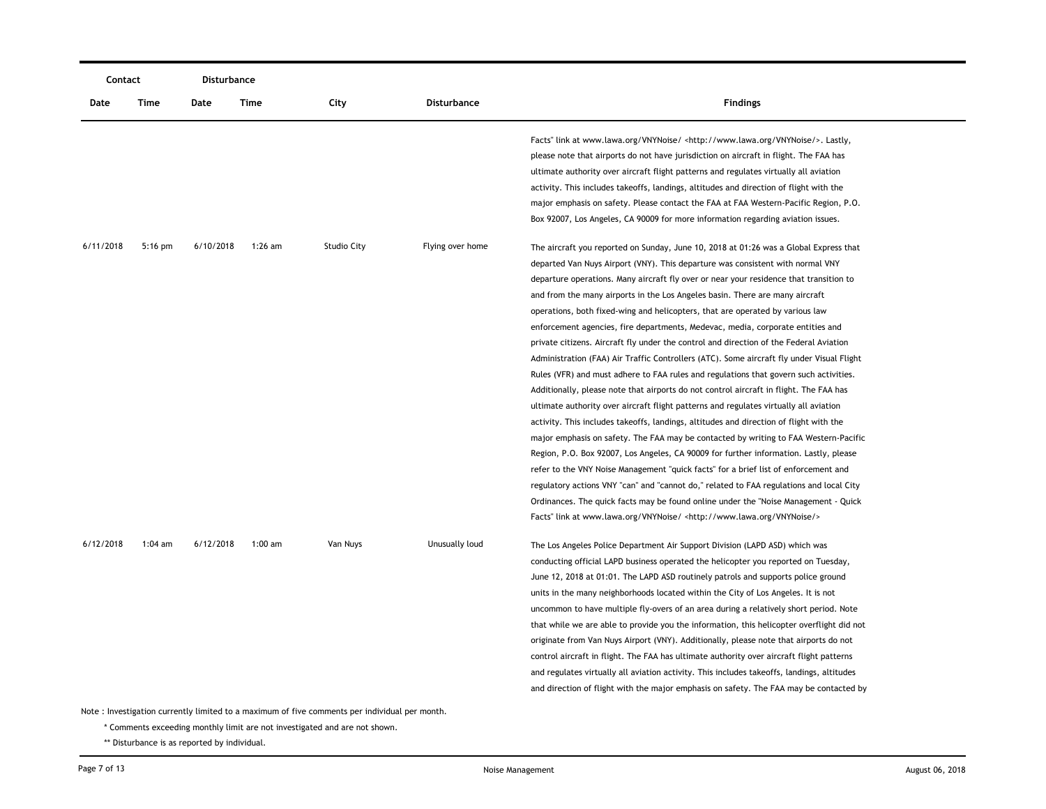| Contact   |           | <b>Disturbance</b> |           |                                                                                                           |                    |                                                                                                                                                                                                                                                                                                                                                                                                                                                                                                                                                                                                                                                                                                                                                                                                                                                                                                                                                                                                                                                                                                                                                                                                                                                                                                                                                                                                                                                                                                                                                                                                                                  |
|-----------|-----------|--------------------|-----------|-----------------------------------------------------------------------------------------------------------|--------------------|----------------------------------------------------------------------------------------------------------------------------------------------------------------------------------------------------------------------------------------------------------------------------------------------------------------------------------------------------------------------------------------------------------------------------------------------------------------------------------------------------------------------------------------------------------------------------------------------------------------------------------------------------------------------------------------------------------------------------------------------------------------------------------------------------------------------------------------------------------------------------------------------------------------------------------------------------------------------------------------------------------------------------------------------------------------------------------------------------------------------------------------------------------------------------------------------------------------------------------------------------------------------------------------------------------------------------------------------------------------------------------------------------------------------------------------------------------------------------------------------------------------------------------------------------------------------------------------------------------------------------------|
| Date      | Time      | Date               | Time      | City                                                                                                      | <b>Disturbance</b> | <b>Findings</b>                                                                                                                                                                                                                                                                                                                                                                                                                                                                                                                                                                                                                                                                                                                                                                                                                                                                                                                                                                                                                                                                                                                                                                                                                                                                                                                                                                                                                                                                                                                                                                                                                  |
|           |           |                    |           |                                                                                                           |                    | Facts" link at www.lawa.org/VNYNoise/ <http: vnynoise="" www.lawa.org=""></http:> . Lastly,<br>please note that airports do not have jurisdiction on aircraft in flight. The FAA has<br>ultimate authority over aircraft flight patterns and regulates virtually all aviation<br>activity. This includes takeoffs, landings, altitudes and direction of flight with the<br>major emphasis on safety. Please contact the FAA at FAA Western-Pacific Region, P.O.<br>Box 92007, Los Angeles, CA 90009 for more information regarding aviation issues.                                                                                                                                                                                                                                                                                                                                                                                                                                                                                                                                                                                                                                                                                                                                                                                                                                                                                                                                                                                                                                                                              |
| 6/11/2018 | $5:16$ pm | 6/10/2018          | $1:26$ am | <b>Studio City</b>                                                                                        | Flying over home   | The aircraft you reported on Sunday, June 10, 2018 at 01:26 was a Global Express that<br>departed Van Nuys Airport (VNY). This departure was consistent with normal VNY<br>departure operations. Many aircraft fly over or near your residence that transition to<br>and from the many airports in the Los Angeles basin. There are many aircraft<br>operations, both fixed-wing and helicopters, that are operated by various law<br>enforcement agencies, fire departments, Medevac, media, corporate entities and<br>private citizens. Aircraft fly under the control and direction of the Federal Aviation<br>Administration (FAA) Air Traffic Controllers (ATC). Some aircraft fly under Visual Flight<br>Rules (VFR) and must adhere to FAA rules and regulations that govern such activities.<br>Additionally, please note that airports do not control aircraft in flight. The FAA has<br>ultimate authority over aircraft flight patterns and regulates virtually all aviation<br>activity. This includes takeoffs, landings, altitudes and direction of flight with the<br>major emphasis on safety. The FAA may be contacted by writing to FAA Western-Pacific<br>Region, P.O. Box 92007, Los Angeles, CA 90009 for further information. Lastly, please<br>refer to the VNY Noise Management "quick facts" for a brief list of enforcement and<br>regulatory actions VNY "can" and "cannot do," related to FAA regulations and local City<br>Ordinances. The quick facts may be found online under the "Noise Management - Quick<br>Facts" link at www.lawa.org/VNYNoise/ <http: vnynoise="" www.lawa.org=""></http:> |
| 6/12/2018 | 1:04 am   | 6/12/2018          | $1:00$ am | Van Nuys<br>Note: Investigation currently limited to a maximum of five comments per individual per month. | Unusually loud     | The Los Angeles Police Department Air Support Division (LAPD ASD) which was<br>conducting official LAPD business operated the helicopter you reported on Tuesday,<br>June 12, 2018 at 01:01. The LAPD ASD routinely patrols and supports police ground<br>units in the many neighborhoods located within the City of Los Angeles. It is not<br>uncommon to have multiple fly-overs of an area during a relatively short period. Note<br>that while we are able to provide you the information, this helicopter overflight did not<br>originate from Van Nuys Airport (VNY). Additionally, please note that airports do not<br>control aircraft in flight. The FAA has ultimate authority over aircraft flight patterns<br>and regulates virtually all aviation activity. This includes takeoffs, landings, altitudes<br>and direction of flight with the major emphasis on safety. The FAA may be contacted by                                                                                                                                                                                                                                                                                                                                                                                                                                                                                                                                                                                                                                                                                                                   |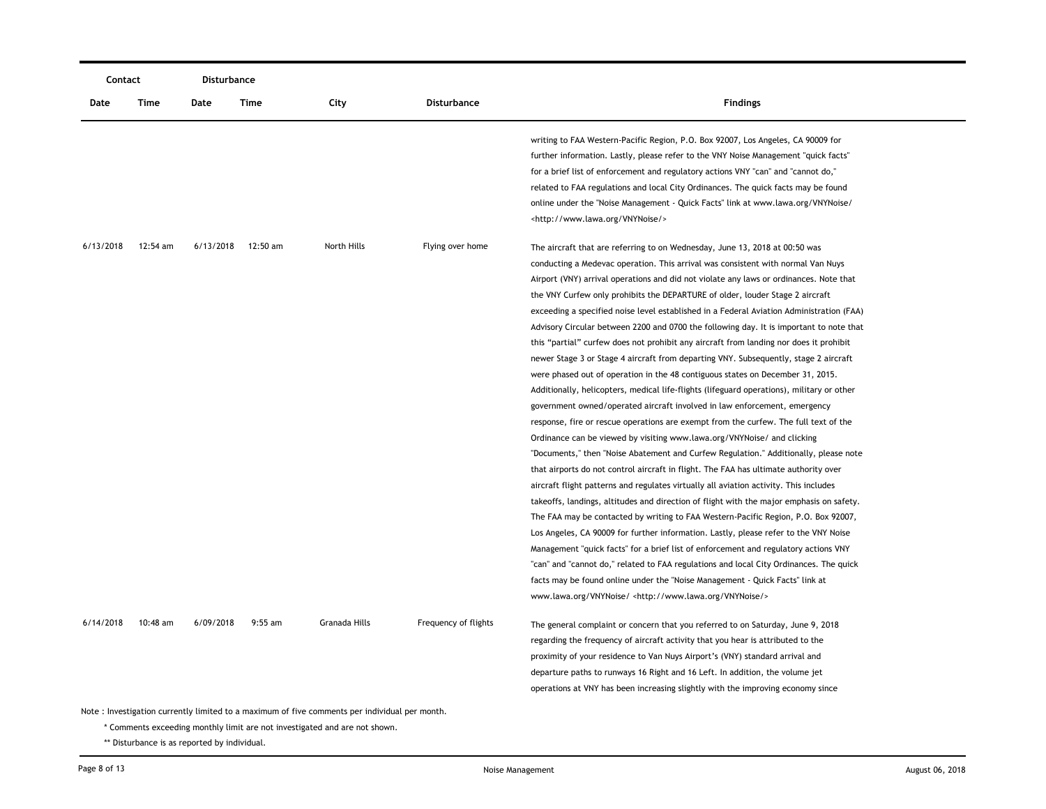| Contact                                                                                       |          | Disturbance |                    |                                                                            |                      |                                                                                           |  |
|-----------------------------------------------------------------------------------------------|----------|-------------|--------------------|----------------------------------------------------------------------------|----------------------|-------------------------------------------------------------------------------------------|--|
| Date                                                                                          | Time     | Date        | Time               | City                                                                       | <b>Disturbance</b>   | <b>Findings</b>                                                                           |  |
|                                                                                               |          |             |                    |                                                                            |                      | writing to FAA Western-Pacific Region, P.O. Box 92007, Los Angeles, CA 90009 for          |  |
|                                                                                               |          |             |                    |                                                                            |                      | further information. Lastly, please refer to the VNY Noise Management "quick facts"       |  |
|                                                                                               |          |             |                    |                                                                            |                      | for a brief list of enforcement and regulatory actions VNY "can" and "cannot do,"         |  |
|                                                                                               |          |             |                    |                                                                            |                      | related to FAA regulations and local City Ordinances. The quick facts may be found        |  |
|                                                                                               |          |             |                    |                                                                            |                      | online under the "Noise Management - Quick Facts" link at www.lawa.org/VNYNoise/          |  |
|                                                                                               |          |             |                    |                                                                            |                      | <http: vnynoise="" www.lawa.org=""></http:>                                               |  |
| 6/13/2018                                                                                     | 12:54 am |             | 6/13/2018 12:50 am | North Hills                                                                | Flying over home     | The aircraft that are referring to on Wednesday, June 13, 2018 at 00:50 was               |  |
|                                                                                               |          |             |                    |                                                                            |                      | conducting a Medevac operation. This arrival was consistent with normal Van Nuys          |  |
|                                                                                               |          |             |                    |                                                                            |                      | Airport (VNY) arrival operations and did not violate any laws or ordinances. Note that    |  |
|                                                                                               |          |             |                    |                                                                            |                      | the VNY Curfew only prohibits the DEPARTURE of older, louder Stage 2 aircraft             |  |
|                                                                                               |          |             |                    |                                                                            |                      | exceeding a specified noise level established in a Federal Aviation Administration (FAA)  |  |
|                                                                                               |          |             |                    |                                                                            |                      | Advisory Circular between 2200 and 0700 the following day. It is important to note that   |  |
|                                                                                               |          |             |                    |                                                                            |                      | this "partial" curfew does not prohibit any aircraft from landing nor does it prohibit    |  |
|                                                                                               |          |             |                    |                                                                            |                      | newer Stage 3 or Stage 4 aircraft from departing VNY. Subsequently, stage 2 aircraft      |  |
|                                                                                               |          |             |                    |                                                                            |                      | were phased out of operation in the 48 contiguous states on December 31, 2015.            |  |
|                                                                                               |          |             |                    |                                                                            |                      | Additionally, helicopters, medical life-flights (lifeguard operations), military or other |  |
|                                                                                               |          |             |                    |                                                                            |                      | government owned/operated aircraft involved in law enforcement, emergency                 |  |
|                                                                                               |          |             |                    |                                                                            |                      | response, fire or rescue operations are exempt from the curfew. The full text of the      |  |
|                                                                                               |          |             |                    |                                                                            |                      | Ordinance can be viewed by visiting www.lawa.org/VNYNoise/ and clicking                   |  |
|                                                                                               |          |             |                    |                                                                            |                      | "Documents," then "Noise Abatement and Curfew Regulation." Additionally, please note      |  |
|                                                                                               |          |             |                    |                                                                            |                      | that airports do not control aircraft in flight. The FAA has ultimate authority over      |  |
|                                                                                               |          |             |                    |                                                                            |                      | aircraft flight patterns and regulates virtually all aviation activity. This includes     |  |
|                                                                                               |          |             |                    |                                                                            |                      | takeoffs, landings, altitudes and direction of flight with the major emphasis on safety.  |  |
|                                                                                               |          |             |                    |                                                                            |                      | The FAA may be contacted by writing to FAA Western-Pacific Region, P.O. Box 92007,        |  |
|                                                                                               |          |             |                    |                                                                            |                      | Los Angeles, CA 90009 for further information. Lastly, please refer to the VNY Noise      |  |
|                                                                                               |          |             |                    |                                                                            |                      | Management "quick facts" for a brief list of enforcement and regulatory actions VNY       |  |
|                                                                                               |          |             |                    |                                                                            |                      | "can" and "cannot do," related to FAA regulations and local City Ordinances. The quick    |  |
|                                                                                               |          |             |                    |                                                                            |                      | facts may be found online under the "Noise Management - Quick Facts" link at              |  |
|                                                                                               |          |             |                    |                                                                            |                      | www.lawa.org/VNYNoise/ <http: vnynoise="" www.lawa.org=""></http:>                        |  |
| 6/14/2018                                                                                     | 10:48 am | 6/09/2018   | $9:55$ am          | Granada Hills                                                              | Frequency of flights | The general complaint or concern that you referred to on Saturday, June 9, 2018           |  |
|                                                                                               |          |             |                    |                                                                            |                      | regarding the frequency of aircraft activity that you hear is attributed to the           |  |
|                                                                                               |          |             |                    |                                                                            |                      | proximity of your residence to Van Nuys Airport's (VNY) standard arrival and              |  |
|                                                                                               |          |             |                    |                                                                            |                      | departure paths to runways 16 Right and 16 Left. In addition, the volume jet              |  |
|                                                                                               |          |             |                    |                                                                            |                      | operations at VNY has been increasing slightly with the improving economy since           |  |
|                                                                                               |          |             |                    |                                                                            |                      |                                                                                           |  |
| Note: Investigation currently limited to a maximum of five comments per individual per month. |          |             |                    |                                                                            |                      |                                                                                           |  |
|                                                                                               |          |             |                    | * Comments exceeding monthly limit are not investigated and are not shown. |                      |                                                                                           |  |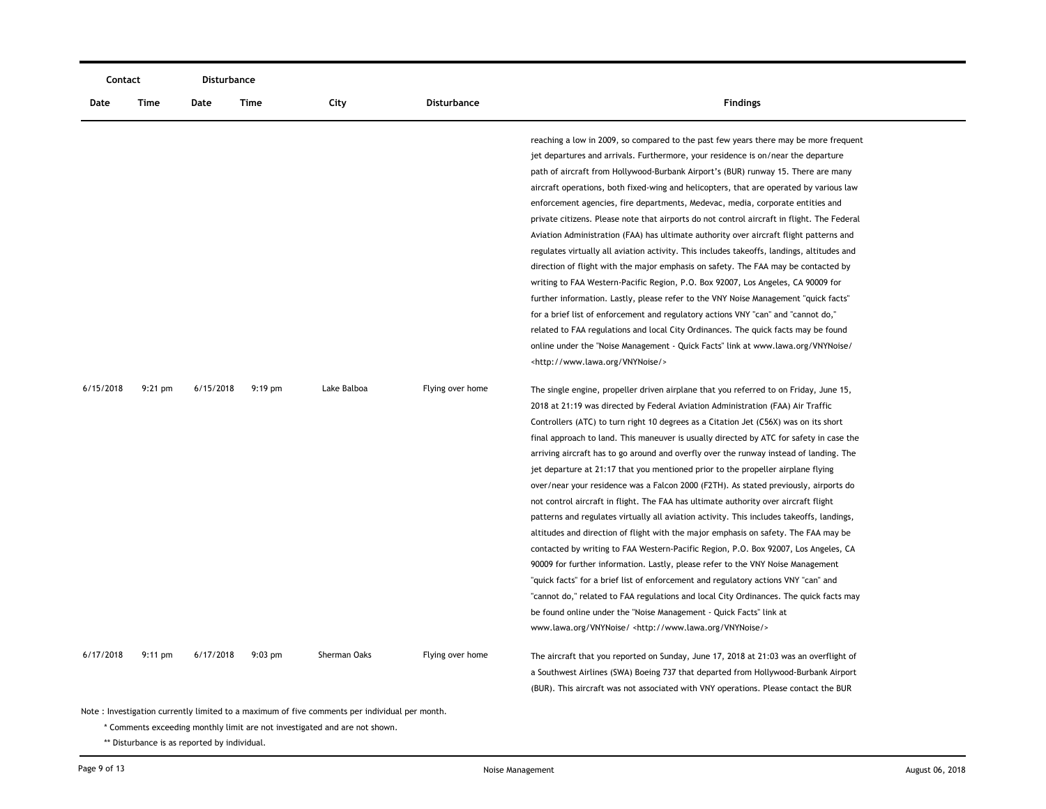| Contact   |                   | Disturbance |           |              |                  |                                                                                                                                                                                                                                                                                                                                                                                                                                                                                                                                                                                                                                                                                                                                                                                                                                                                                                                                                                                                                                                                                                                                                                                                                                                                                                                                                                                                                                                                   |
|-----------|-------------------|-------------|-----------|--------------|------------------|-------------------------------------------------------------------------------------------------------------------------------------------------------------------------------------------------------------------------------------------------------------------------------------------------------------------------------------------------------------------------------------------------------------------------------------------------------------------------------------------------------------------------------------------------------------------------------------------------------------------------------------------------------------------------------------------------------------------------------------------------------------------------------------------------------------------------------------------------------------------------------------------------------------------------------------------------------------------------------------------------------------------------------------------------------------------------------------------------------------------------------------------------------------------------------------------------------------------------------------------------------------------------------------------------------------------------------------------------------------------------------------------------------------------------------------------------------------------|
| Date      | Time              | Date        | Time      | City         | Disturbance      | <b>Findings</b>                                                                                                                                                                                                                                                                                                                                                                                                                                                                                                                                                                                                                                                                                                                                                                                                                                                                                                                                                                                                                                                                                                                                                                                                                                                                                                                                                                                                                                                   |
|           |                   |             |           |              |                  | reaching a low in 2009, so compared to the past few years there may be more frequent<br>jet departures and arrivals. Furthermore, your residence is on/near the departure<br>path of aircraft from Hollywood-Burbank Airport's (BUR) runway 15. There are many<br>aircraft operations, both fixed-wing and helicopters, that are operated by various law<br>enforcement agencies, fire departments, Medevac, media, corporate entities and<br>private citizens. Please note that airports do not control aircraft in flight. The Federal<br>Aviation Administration (FAA) has ultimate authority over aircraft flight patterns and<br>regulates virtually all aviation activity. This includes takeoffs, landings, altitudes and<br>direction of flight with the major emphasis on safety. The FAA may be contacted by<br>writing to FAA Western-Pacific Region, P.O. Box 92007, Los Angeles, CA 90009 for<br>further information. Lastly, please refer to the VNY Noise Management "quick facts"<br>for a brief list of enforcement and regulatory actions VNY "can" and "cannot do,"<br>related to FAA regulations and local City Ordinances. The quick facts may be found<br>online under the "Noise Management - Quick Facts" link at www.lawa.org/VNYNoise/                                                                                                                                                                                                  |
| 6/15/2018 | $9:21$ pm         | 6/15/2018   | $9:19$ pm | Lake Balboa  | Flying over home | <http: vnynoise="" www.lawa.org=""></http:><br>The single engine, propeller driven airplane that you referred to on Friday, June 15,<br>2018 at 21:19 was directed by Federal Aviation Administration (FAA) Air Traffic<br>Controllers (ATC) to turn right 10 degrees as a Citation Jet (C56X) was on its short<br>final approach to land. This maneuver is usually directed by ATC for safety in case the<br>arriving aircraft has to go around and overfly over the runway instead of landing. The<br>jet departure at 21:17 that you mentioned prior to the propeller airplane flying<br>over/near your residence was a Falcon 2000 (F2TH). As stated previously, airports do<br>not control aircraft in flight. The FAA has ultimate authority over aircraft flight<br>patterns and regulates virtually all aviation activity. This includes takeoffs, landings,<br>altitudes and direction of flight with the major emphasis on safety. The FAA may be<br>contacted by writing to FAA Western-Pacific Region, P.O. Box 92007, Los Angeles, CA<br>90009 for further information. Lastly, please refer to the VNY Noise Management<br>"quick facts" for a brief list of enforcement and regulatory actions VNY "can" and<br>"cannot do," related to FAA regulations and local City Ordinances. The quick facts may<br>be found online under the "Noise Management - Quick Facts" link at<br>www.lawa.org/VNYNoise/ <http: vnynoise="" www.lawa.org=""></http:> |
| 6/17/2018 | $9:11 \text{ pm}$ | 6/17/2018   | $9:03$ pm | Sherman Oaks | Flying over home | The aircraft that you reported on Sunday, June 17, 2018 at 21:03 was an overflight of<br>a Southwest Airlines (SWA) Boeing 737 that departed from Hollywood-Burbank Airport<br>(BUR). This aircraft was not associated with VNY operations. Please contact the BUR                                                                                                                                                                                                                                                                                                                                                                                                                                                                                                                                                                                                                                                                                                                                                                                                                                                                                                                                                                                                                                                                                                                                                                                                |

\* Comments exceeding monthly limit are not investigated and are not shown.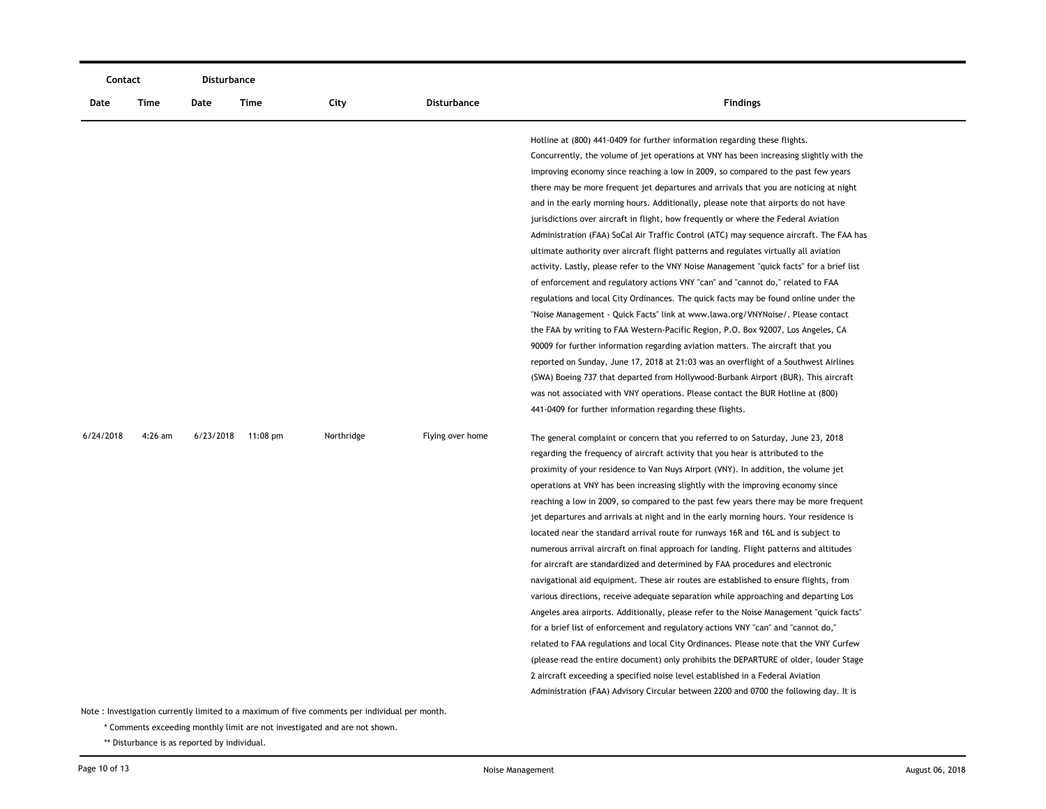|           | Contact   |      | Disturbance        |            |                  |                                                                                                                                                                                                                                                                                                                                                                                                                                                                                                                                                                                                                                                                                                                                                                                                                                                                                                                                                                                                                                                                                                                                                                                                                                                                                                                                                                                                                                                                                                                                                                                         |
|-----------|-----------|------|--------------------|------------|------------------|-----------------------------------------------------------------------------------------------------------------------------------------------------------------------------------------------------------------------------------------------------------------------------------------------------------------------------------------------------------------------------------------------------------------------------------------------------------------------------------------------------------------------------------------------------------------------------------------------------------------------------------------------------------------------------------------------------------------------------------------------------------------------------------------------------------------------------------------------------------------------------------------------------------------------------------------------------------------------------------------------------------------------------------------------------------------------------------------------------------------------------------------------------------------------------------------------------------------------------------------------------------------------------------------------------------------------------------------------------------------------------------------------------------------------------------------------------------------------------------------------------------------------------------------------------------------------------------------|
| Date      | Time      | Date | Time               | City       | Disturbance      | <b>Findings</b>                                                                                                                                                                                                                                                                                                                                                                                                                                                                                                                                                                                                                                                                                                                                                                                                                                                                                                                                                                                                                                                                                                                                                                                                                                                                                                                                                                                                                                                                                                                                                                         |
|           |           |      |                    |            |                  | Hotline at (800) 441-0409 for further information regarding these flights.<br>Concurrently, the volume of jet operations at VNY has been increasing slightly with the<br>improving economy since reaching a low in 2009, so compared to the past few years<br>there may be more frequent jet departures and arrivals that you are noticing at night<br>and in the early morning hours. Additionally, please note that airports do not have<br>jurisdictions over aircraft in flight, how frequently or where the Federal Aviation<br>Administration (FAA) SoCal Air Traffic Control (ATC) may sequence aircraft. The FAA has<br>ultimate authority over aircraft flight patterns and regulates virtually all aviation<br>activity. Lastly, please refer to the VNY Noise Management "quick facts" for a brief list<br>of enforcement and regulatory actions VNY "can" and "cannot do," related to FAA<br>regulations and local City Ordinances. The quick facts may be found online under the<br>"Noise Management - Quick Facts" link at www.lawa.org/VNYNoise/. Please contact<br>the FAA by writing to FAA Western-Pacific Region, P.O. Box 92007, Los Angeles, CA<br>90009 for further information regarding aviation matters. The aircraft that you<br>reported on Sunday, June 17, 2018 at 21:03 was an overflight of a Southwest Airlines<br>(SWA) Boeing 737 that departed from Hollywood-Burbank Airport (BUR). This aircraft<br>was not associated with VNY operations. Please contact the BUR Hotline at (800)                                                               |
| 6/24/2018 | $4:26$ am |      | 6/23/2018 11:08 pm | Northridge | Flying over home | 441-0409 for further information regarding these flights.<br>The general complaint or concern that you referred to on Saturday, June 23, 2018<br>regarding the frequency of aircraft activity that you hear is attributed to the<br>proximity of your residence to Van Nuys Airport (VNY). In addition, the volume jet<br>operations at VNY has been increasing slightly with the improving economy since<br>reaching a low in 2009, so compared to the past few years there may be more frequent<br>jet departures and arrivals at night and in the early morning hours. Your residence is<br>located near the standard arrival route for runways 16R and 16L and is subject to<br>numerous arrival aircraft on final approach for landing. Flight patterns and altitudes<br>for aircraft are standardized and determined by FAA procedures and electronic<br>navigational aid equipment. These air routes are established to ensure flights, from<br>various directions, receive adequate separation while approaching and departing Los<br>Angeles area airports. Additionally, please refer to the Noise Management "quick facts"<br>for a brief list of enforcement and regulatory actions VNY "can" and "cannot do,"<br>related to FAA regulations and local City Ordinances. Please note that the VNY Curfew<br>(please read the entire document) only prohibits the DEPARTURE of older, louder Stage<br>2 aircraft exceeding a specified noise level established in a Federal Aviation<br>Administration (FAA) Advisory Circular between 2200 and 0700 the following day. It is |

\* Comments exceeding monthly limit are not investigated and are not shown.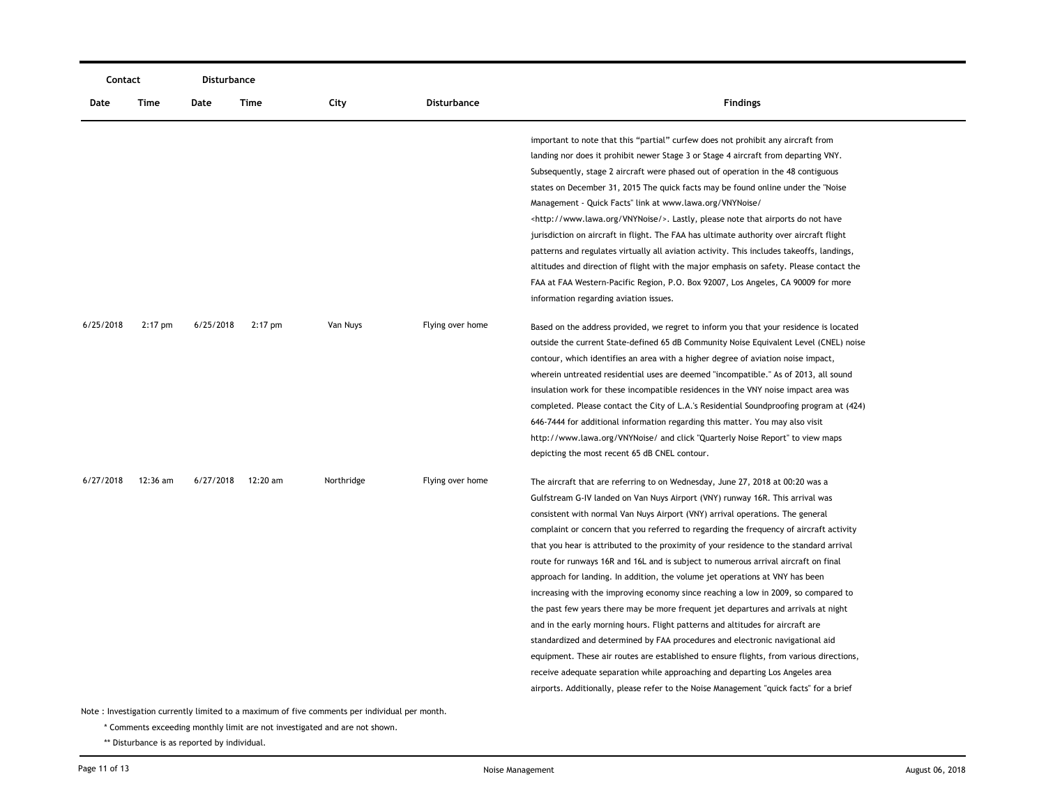|           | Contact   |           | Disturbance |            |                    |                                                                                                                                                                                                                                                                                                                                                                                                                                                                                                                                                                                                                                                                                                                                                                                                                                                                                                                                                                                                                                                                                                                                                                                                                               |
|-----------|-----------|-----------|-------------|------------|--------------------|-------------------------------------------------------------------------------------------------------------------------------------------------------------------------------------------------------------------------------------------------------------------------------------------------------------------------------------------------------------------------------------------------------------------------------------------------------------------------------------------------------------------------------------------------------------------------------------------------------------------------------------------------------------------------------------------------------------------------------------------------------------------------------------------------------------------------------------------------------------------------------------------------------------------------------------------------------------------------------------------------------------------------------------------------------------------------------------------------------------------------------------------------------------------------------------------------------------------------------|
| Date      | Time      | Date      | Time        | City       | <b>Disturbance</b> | <b>Findings</b>                                                                                                                                                                                                                                                                                                                                                                                                                                                                                                                                                                                                                                                                                                                                                                                                                                                                                                                                                                                                                                                                                                                                                                                                               |
|           |           |           |             |            |                    | important to note that this "partial" curfew does not prohibit any aircraft from<br>landing nor does it prohibit newer Stage 3 or Stage 4 aircraft from departing VNY.<br>Subsequently, stage 2 aircraft were phased out of operation in the 48 contiguous<br>states on December 31, 2015 The quick facts may be found online under the "Noise"<br>Management - Quick Facts" link at www.lawa.org/VNYNoise/<br><http: vnynoise="" www.lawa.org=""></http:> . Lastly, please note that airports do not have<br>jurisdiction on aircraft in flight. The FAA has ultimate authority over aircraft flight<br>patterns and regulates virtually all aviation activity. This includes takeoffs, landings,<br>altitudes and direction of flight with the major emphasis on safety. Please contact the<br>FAA at FAA Western-Pacific Region, P.O. Box 92007, Los Angeles, CA 90009 for more                                                                                                                                                                                                                                                                                                                                            |
| 6/25/2018 | $2:17$ pm | 6/25/2018 | $2:17$ pm   | Van Nuys   | Flying over home   | information regarding aviation issues.<br>Based on the address provided, we regret to inform you that your residence is located<br>outside the current State-defined 65 dB Community Noise Equivalent Level (CNEL) noise<br>contour, which identifies an area with a higher degree of aviation noise impact,<br>wherein untreated residential uses are deemed "incompatible." As of 2013, all sound<br>insulation work for these incompatible residences in the VNY noise impact area was<br>completed. Please contact the City of L.A.'s Residential Soundproofing program at (424)<br>646-7444 for additional information regarding this matter. You may also visit<br>http://www.lawa.org/VNYNoise/ and click "Quarterly Noise Report" to view maps<br>depicting the most recent 65 dB CNEL contour.                                                                                                                                                                                                                                                                                                                                                                                                                       |
| 6/27/2018 | 12:36 am  | 6/27/2018 | 12:20 am    | Northridge | Flying over home   | The aircraft that are referring to on Wednesday, June 27, 2018 at 00:20 was a<br>Gulfstream G-IV landed on Van Nuys Airport (VNY) runway 16R. This arrival was<br>consistent with normal Van Nuys Airport (VNY) arrival operations. The general<br>complaint or concern that you referred to regarding the frequency of aircraft activity<br>that you hear is attributed to the proximity of your residence to the standard arrival<br>route for runways 16R and 16L and is subject to numerous arrival aircraft on final<br>approach for landing. In addition, the volume jet operations at VNY has been<br>increasing with the improving economy since reaching a low in 2009, so compared to<br>the past few years there may be more frequent jet departures and arrivals at night<br>and in the early morning hours. Flight patterns and altitudes for aircraft are<br>standardized and determined by FAA procedures and electronic navigational aid<br>equipment. These air routes are established to ensure flights, from various directions,<br>receive adequate separation while approaching and departing Los Angeles area<br>airports. Additionally, please refer to the Noise Management "quick facts" for a brief |

\* Comments exceeding monthly limit are not investigated and are not shown.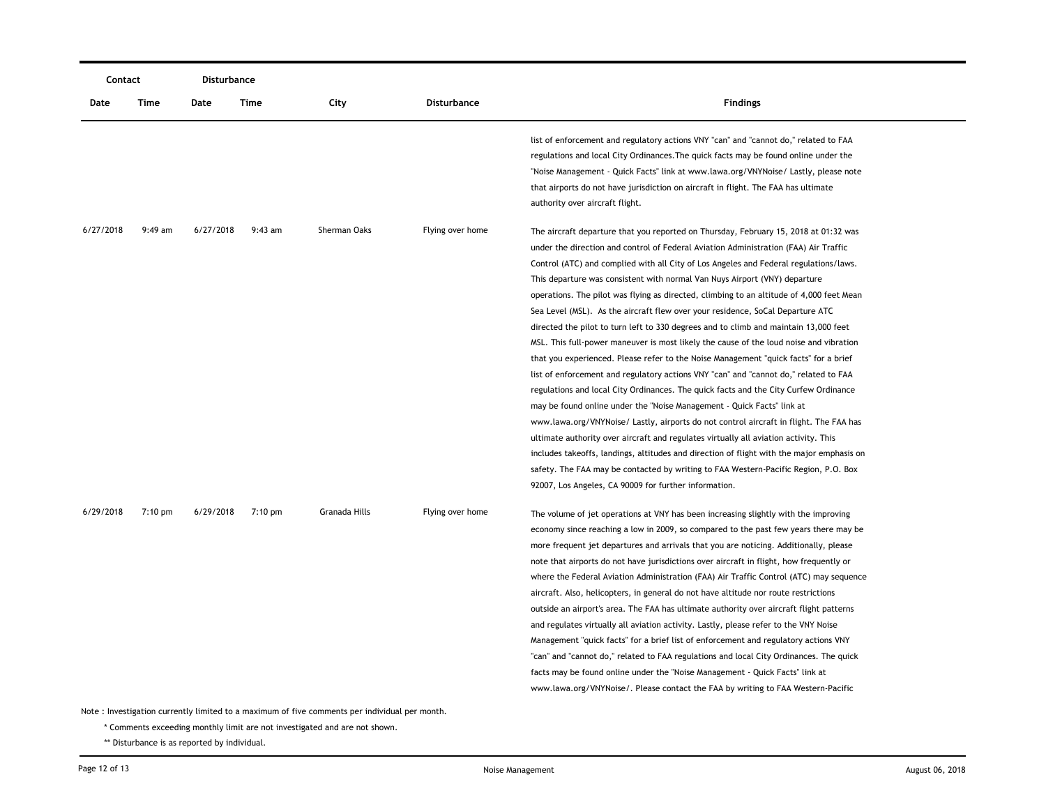|                                                                                               | Contact           |           | <b>Disturbance</b> |               |                  |                                                                                                                                                                                                                                                                                                                                                                                                                                                                                                                                                                                                                                                                                                                                                                                                                                                                                                                                                                                                                                                                                                                                                                                                                                                                                                                                                                                                                                                                                                      |  |  |
|-----------------------------------------------------------------------------------------------|-------------------|-----------|--------------------|---------------|------------------|------------------------------------------------------------------------------------------------------------------------------------------------------------------------------------------------------------------------------------------------------------------------------------------------------------------------------------------------------------------------------------------------------------------------------------------------------------------------------------------------------------------------------------------------------------------------------------------------------------------------------------------------------------------------------------------------------------------------------------------------------------------------------------------------------------------------------------------------------------------------------------------------------------------------------------------------------------------------------------------------------------------------------------------------------------------------------------------------------------------------------------------------------------------------------------------------------------------------------------------------------------------------------------------------------------------------------------------------------------------------------------------------------------------------------------------------------------------------------------------------------|--|--|
| Date                                                                                          | Time              | Date      | Time               | City          | Disturbance      | <b>Findings</b>                                                                                                                                                                                                                                                                                                                                                                                                                                                                                                                                                                                                                                                                                                                                                                                                                                                                                                                                                                                                                                                                                                                                                                                                                                                                                                                                                                                                                                                                                      |  |  |
|                                                                                               |                   |           |                    |               |                  | list of enforcement and regulatory actions VNY "can" and "cannot do," related to FAA<br>regulations and local City Ordinances. The quick facts may be found online under the<br>"Noise Management - Quick Facts" link at www.lawa.org/VNYNoise/ Lastly, please note<br>that airports do not have jurisdiction on aircraft in flight. The FAA has ultimate<br>authority over aircraft flight.                                                                                                                                                                                                                                                                                                                                                                                                                                                                                                                                                                                                                                                                                                                                                                                                                                                                                                                                                                                                                                                                                                         |  |  |
| 6/27/2018                                                                                     | $9:49$ am         | 6/27/2018 | $9:43$ am          | Sherman Oaks  | Flying over home | The aircraft departure that you reported on Thursday, February 15, 2018 at 01:32 was<br>under the direction and control of Federal Aviation Administration (FAA) Air Traffic<br>Control (ATC) and complied with all City of Los Angeles and Federal regulations/laws.<br>This departure was consistent with normal Van Nuys Airport (VNY) departure<br>operations. The pilot was flying as directed, climbing to an altitude of 4,000 feet Mean<br>Sea Level (MSL). As the aircraft flew over your residence, SoCal Departure ATC<br>directed the pilot to turn left to 330 degrees and to climb and maintain 13,000 feet<br>MSL. This full-power maneuver is most likely the cause of the loud noise and vibration<br>that you experienced. Please refer to the Noise Management "quick facts" for a brief<br>list of enforcement and regulatory actions VNY "can" and "cannot do," related to FAA<br>regulations and local City Ordinances. The quick facts and the City Curfew Ordinance<br>may be found online under the "Noise Management - Quick Facts" link at<br>www.lawa.org/VNYNoise/ Lastly, airports do not control aircraft in flight. The FAA has<br>ultimate authority over aircraft and regulates virtually all aviation activity. This<br>includes takeoffs, landings, altitudes and direction of flight with the major emphasis on<br>safety. The FAA may be contacted by writing to FAA Western-Pacific Region, P.O. Box<br>92007, Los Angeles, CA 90009 for further information. |  |  |
| 6/29/2018                                                                                     | $7:10 \text{ pm}$ | 6/29/2018 | $7:10 \text{ pm}$  | Granada Hills | Flying over home | The volume of jet operations at VNY has been increasing slightly with the improving<br>economy since reaching a low in 2009, so compared to the past few years there may be<br>more frequent jet departures and arrivals that you are noticing. Additionally, please<br>note that airports do not have jurisdictions over aircraft in flight, how frequently or<br>where the Federal Aviation Administration (FAA) Air Traffic Control (ATC) may sequence<br>aircraft. Also, helicopters, in general do not have altitude nor route restrictions<br>outside an airport's area. The FAA has ultimate authority over aircraft flight patterns<br>and regulates virtually all aviation activity. Lastly, please refer to the VNY Noise<br>Management "quick facts" for a brief list of enforcement and regulatory actions VNY<br>"can" and "cannot do," related to FAA regulations and local City Ordinances. The quick<br>facts may be found online under the "Noise Management - Quick Facts" link at<br>www.lawa.org/VNYNoise/. Please contact the FAA by writing to FAA Western-Pacific                                                                                                                                                                                                                                                                                                                                                                                                             |  |  |
| Note: Investigation currently limited to a maximum of five comments per individual per month. |                   |           |                    |               |                  |                                                                                                                                                                                                                                                                                                                                                                                                                                                                                                                                                                                                                                                                                                                                                                                                                                                                                                                                                                                                                                                                                                                                                                                                                                                                                                                                                                                                                                                                                                      |  |  |